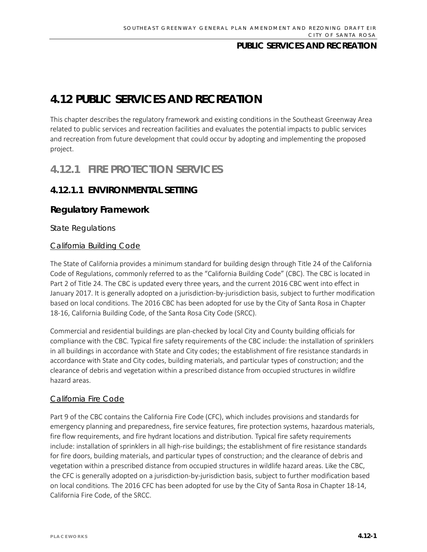# **4.12 PUBLIC SERVICES AND RECREATION**

This chapter describes the regulatory framework and existing conditions in the Southeast Greenway Area related to public services and recreation facilities and evaluates the potential impacts to public services and recreation from future development that could occur by adopting and implementing the proposed project.

# **4.12.1 FIRE PROTECTION SERVICES**

# **4.12.1.1 ENVIRONMENTAL SETTING**

# **Regulatory Framework**

*State Regulations* 

### California Building Code

The State of California provides a minimum standard for building design through Title 24 of the California Code of Regulations, commonly referred to as the "California Building Code" (CBC). The CBC is located in Part 2 of Title 24. The CBC is updated every three years, and the current 2016 CBC went into effect in January 2017. It is generally adopted on a jurisdiction-by-jurisdiction basis, subject to further modification based on local conditions. The 2016 CBC has been adopted for use by the City of Santa Rosa in Chapter 18-16, California Building Code, of the Santa Rosa City Code (SRCC).

Commercial and residential buildings are plan-checked by local City and County building officials for compliance with the CBC. Typical fire safety requirements of the CBC include: the installation of sprinklers in all buildings in accordance with State and City codes; the establishment of fire resistance standards in accordance with State and City codes, building materials, and particular types of construction; and the clearance of debris and vegetation within a prescribed distance from occupied structures in wildfire hazard areas.

### California Fire Code

Part 9 of the CBC contains the California Fire Code (CFC), which includes provisions and standards for emergency planning and preparedness, fire service features, fire protection systems, hazardous materials, fire flow requirements, and fire hydrant locations and distribution. Typical fire safety requirements include: installation of sprinklers in all high-rise buildings; the establishment of fire resistance standards for fire doors, building materials, and particular types of construction; and the clearance of debris and vegetation within a prescribed distance from occupied structures in wildlife hazard areas. Like the CBC, the CFC is generally adopted on a jurisdiction-by-jurisdiction basis, subject to further modification based on local conditions. The 2016 CFC has been adopted for use by the City of Santa Rosa in Chapter 18-14, California Fire Code, of the SRCC.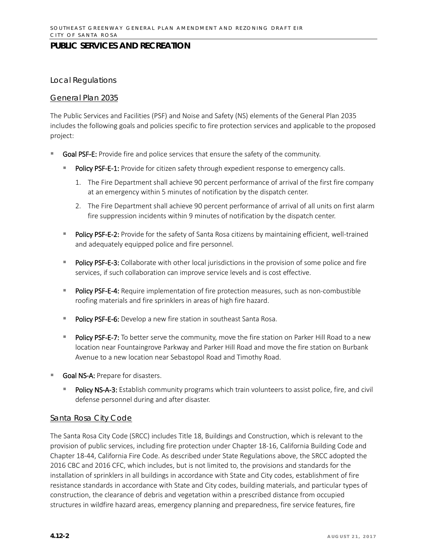#### *Local Regulations*

#### General Plan 2035

The Public Services and Facilities (PSF) and Noise and Safety (NS) elements of the General Plan 2035 includes the following goals and policies specific to fire protection services and applicable to the proposed project:

- Goal PSF-E: Provide fire and police services that ensure the safety of the community.
	- Policy PSF-E-1: Provide for citizen safety through expedient response to emergency calls.
		- 1. The Fire Department shall achieve 90 percent performance of arrival of the first fire company at an emergency within 5 minutes of notification by the dispatch center.
		- 2. The Fire Department shall achieve 90 percent performance of arrival of all units on first alarm fire suppression incidents within 9 minutes of notification by the dispatch center.
	- Policy PSF-E-2: Provide for the safety of Santa Rosa citizens by maintaining efficient, well-trained and adequately equipped police and fire personnel.
	- **Policy PSF-E-3:** Collaborate with other local jurisdictions in the provision of some police and fire services, if such collaboration can improve service levels and is cost effective.
	- Policy PSF-E-4: Require implementation of fire protection measures, such as non-combustible roofing materials and fire sprinklers in areas of high fire hazard.
	- **Policy PSF-E-6:** Develop a new fire station in southeast Santa Rosa.
	- Policy PSF-E-7: To better serve the community, move the fire station on Parker Hill Road to a new location near Fountaingrove Parkway and Parker Hill Road and move the fire station on Burbank Avenue to a new location near Sebastopol Road and Timothy Road.
- Goal NS-A: Prepare for disasters.
	- Policy NS-A-3: Establish community programs which train volunteers to assist police, fire, and civil defense personnel during and after disaster.

#### Santa Rosa City Code

The Santa Rosa City Code (SRCC) includes Title 18, Buildings and Construction, which is relevant to the provision of public services, including fire protection under Chapter 18-16, California Building Code and Chapter 18-44, California Fire Code. As described under State Regulations above, the SRCC adopted the 2016 CBC and 2016 CFC, which includes, but is not limited to, the provisions and standards for the installation of sprinklers in all buildings in accordance with State and City codes, establishment of fire resistance standards in accordance with State and City codes, building materials, and particular types of construction, the clearance of debris and vegetation within a prescribed distance from occupied structures in wildfire hazard areas, emergency planning and preparedness, fire service features, fire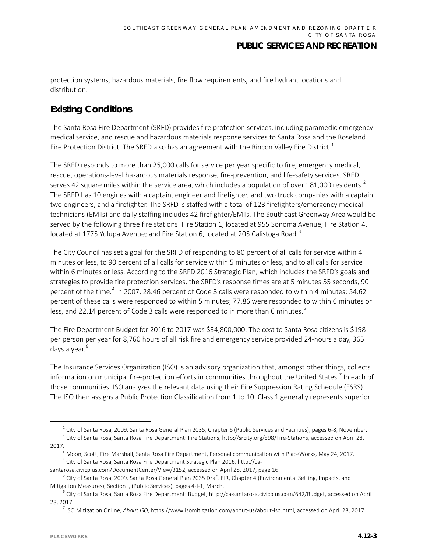protection systems, hazardous materials, fire flow requirements, and fire hydrant locations and distribution.

# **Existing Conditions**

The Santa Rosa Fire Department (SRFD) provides fire protection services, including paramedic emergency medical service, and rescue and hazardous materials response services to Santa Rosa and the Roseland Fire Protection District. The SRFD also has an agreement with the Rincon Valley Fire District.<sup>[1](#page-2-0)</sup>

The SRFD responds to more than 25,000 calls for service per year specific to fire, emergency medical, rescue, operations-level hazardous materials response, fire-prevention, and life-safety services. SRFD serves 4[2](#page-2-1) square miles within the service area, which includes a population of over 181,000 residents.<sup>2</sup> The SRFD has 10 engines with a captain, engineer and firefighter, and two truck companies with a captain, two engineers, and a firefighter. The SRFD is staffed with a total of 123 firefighters/emergency medical technicians (EMTs) and daily staffing includes 42 firefighter/EMTs. The Southeast Greenway Area would be served by the following three fire stations: Fire Station 1, located at 955 Sonoma Avenue; Fire Station 4, located at 1775 Yulupa Avenue; and Fire Station 6, located at 205 Calistoga Road.<sup>[3](#page-2-2)</sup>

The City Council has set a goal for the SRFD of responding to 80 percent of all calls for service within 4 minutes or less, to 90 percent of all calls for service within 5 minutes or less, and to all calls for service within 6 minutes or less. According to the SRFD 2016 Strategic Plan, which includes the SRFD's goals and strategies to provide fire protection services, the SRFD's response times are at 5 minutes 55 seconds, 90 percent of the time.<sup>[4](#page-2-3)</sup> In 2007, 28.46 percent of Code 3 calls were responded to within 4 minutes; 54.62 percent of these calls were responded to within 5 minutes; 77.86 were responded to within 6 minutes or less, and 22.14 percent of Code 3 calls were responded to in more than 6 minutes.<sup>[5](#page-2-4)</sup>

The Fire Department Budget for 2016 to 2017 was \$34,800,000. The cost to Santa Rosa citizens is \$198 per person per year for 8,760 hours of all risk fire and emergency service provided 24-hours a day, 365 days a year.<sup>[6](#page-2-5)</sup>

The Insurance Services Organization (ISO) is an advisory organization that, amongst other things, collects information on municipal fire-protection efforts in communities throughout the United States.<sup>[7](#page-2-6)</sup> In each of those communities, ISO analyzes the relevant data using their Fire Suppression Rating Schedule (FSRS). The ISO then assigns a Public Protection Classification from 1 to 10. Class 1 generally represents superior

 $^1$  City of Santa Rosa, 2009. Santa Rosa General Plan 2035, Chapter 6 (Public Services and Facilities), pages 6-8, November.

<span id="page-2-1"></span><span id="page-2-0"></span> $2$  City of Santa Rosa, Santa Rosa Fire Department: Fire Stations[, http://srcity.org/598/Fire-Stations,](http://srcity.org/598/Fire-Stations) accessed on April 28, 2017.<br><sup>3</sup> Moon, Scott, Fire Marshall, Santa Rosa Fire Department, Personal communication with PlaceWorks, May 24, 2017.

<sup>4</sup> City of Santa Rosa, Santa Rosa Fire Department Strategic Plan 2016, http://ca-

<span id="page-2-3"></span><span id="page-2-2"></span>santarosa.civicplus.com/DocumentCenter/View/3152, accessed on April 28, 2017, page 16.

<span id="page-2-4"></span><sup>&</sup>lt;sup>5</sup> City of Santa Rosa, 2009. Santa Rosa General Plan 2035 Draft EIR, Chapter 4 (Environmental Setting, Impacts, and Mitigation Measures), Section I, (Public Services), pages 4-I-1, March.

<span id="page-2-6"></span><span id="page-2-5"></span> $^6$  City of Santa Rosa, Santa Rosa Fire Department: Budget, http://ca-santarosa.civicplus.com/642/Budget, accessed on April 28, 2017.

<sup>7</sup> ISO Mitigation Online, *About ISO,* https://www.isomitigation.com/about-us/about-iso.html, accessed on April 28, 2017.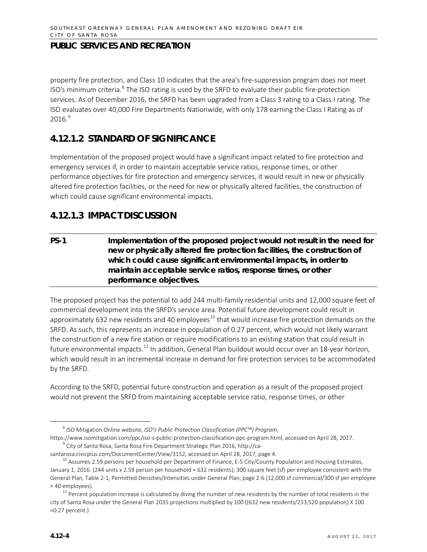property fire protection, and Class 10 indicates that the area's fire-suppression program does not meet ISO's minimum criteria. $8$  The ISO rating is used by the SRFD to evaluate their public fire-protection services. As of December 2016, the SRFD has been upgraded from a Class 3 rating to a Class I rating. The ISO evaluates over 40,000 Fire Departments Nationwide, with only 178 earning the Class I Rating as of  $2016.<sup>9</sup>$  $2016.<sup>9</sup>$  $2016.<sup>9</sup>$ 

# **4.12.1.2 STANDARD OF SIGNIFICANCE**

Implementation of the proposed project would have a significant impact related to fire protection and emergency services if, in order to maintain acceptable service ratios, response times, or other performance objectives for fire protection and emergency services, it would result in new or physically altered fire protection facilities, or the need for new or physically altered facilities, the construction of which could cause significant environmental impacts.

# **4.12.1.3 IMPACT DISCUSSION**

**PS-1 Implementation of the proposed project would not result in the need for new or physically altered fire protection facilities, the construction of which could cause significant environmental impacts, in order to maintain acceptable service ratios, response times, or other performance objectives.**

The proposed project has the potential to add 244 multi-family residential units and 12,000 square feet of commercial development into the SRFD's service area. Potential future development could result in approximately 632 new residents and 40 employees<sup>[10](#page-3-2)</sup> that would increase fire protection demands on the SRFD. As such, this represents an increase in population of 0.27 percent, which would not likely warrant the construction of a new fire station or require modifications to an existing station that could result in future environmental impacts.<sup>[11](#page-3-3)</sup> In addition, General Plan buildout would occur over an 18-year horizon, which would result in an incremental increase in demand for fire protection services to be accommodated by the SRFD.

According to the SRFD, potential future construction and operation as a result of the proposed project would not prevent the SRFD from maintaining acceptable service ratio, response times, or other

 <sup>8</sup> ISO Mitigation Online website, *ISO's Public Protection Classification (PPC™) Program*,

<span id="page-3-1"></span><span id="page-3-0"></span>https://www.isomitigation.com/ppc/iso-s-public-protection-classification-ppc-program.html, accessed on April 28, 2017. <sup>9</sup> City of Santa Rosa, Santa Rosa Fire Department Strategic Plan 2016, http://ca-

<span id="page-3-2"></span>santarosa.civicplus.com/DocumentCenter/View/3152, accessed on April 28, 2017, page 4.<br><sup>10</sup> Assumes 2.59 persons per household per Department of Finance, E-5 City/County Population and Housing Estimates, January 1, 2016. (244 units x 2.59 person per household = 632 residents); 300 square feet (sf) per employee consistent with the General Plan, Table 2-1, Permitted Densities/Intensities under General Plan, page 2-6 (12,000 sf commercial/300 sf per employee = 40 employees).

<span id="page-3-3"></span> $11$  Percent population increase is calculated by diving the number of new residents by the number of total residents in the city of Santa Rosa under the General Plan 2035 projections multiplied by 100 ((632 new residents/233,520 population) X 100 =0.27 percent.)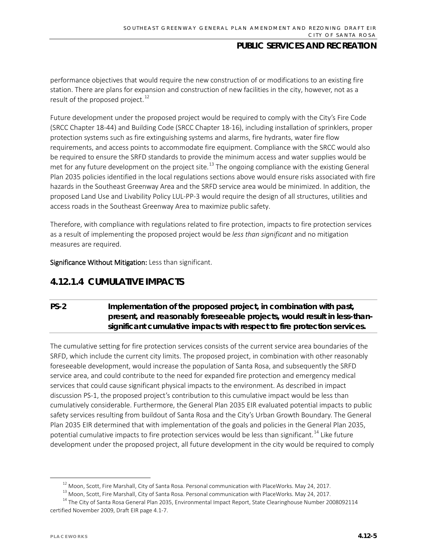performance objectives that would require the new construction of or modifications to an existing fire station. There are plans for expansion and construction of new facilities in the city, however, not as a result of the proposed project. $^{12}$  $^{12}$  $^{12}$ 

Future development under the proposed project would be required to comply with the City's Fire Code (SRCC Chapter 18-44) and Building Code (SRCC Chapter 18-16), including installation of sprinklers, proper protection systems such as fire extinguishing systems and alarms, fire hydrants, water fire flow requirements, and access points to accommodate fire equipment. Compliance with the SRCC would also be required to ensure the SRFD standards to provide the minimum access and water supplies would be met for any future development on the project site.<sup>[13](#page-4-1)</sup> The ongoing compliance with the existing General Plan 2035 policies identified in the local regulations sections above would ensure risks associated with fire hazards in the Southeast Greenway Area and the SRFD service area would be minimized. In addition, the proposed Land Use and Livability Policy LUL-PP-3 would require the design of all structures, utilities and access roads in the Southeast Greenway Area to maximize public safety.

Therefore, with compliance with regulations related to fire protection, impacts to fire protection services as a result of implementing the proposed project would be *less than significant* and no mitigation measures are required.

Significance Without Mitigation: Less than significant.

# **4.12.1.4 CUMULATIVE IMPACTS**

## **PS-2 Implementation of the proposed project, in combination with past, present, and reasonably foreseeable projects, would result in less-thansignificant cumulative impacts with respect to fire protection services.**

The cumulative setting for fire protection services consists of the current service area boundaries of the SRFD, which include the current city limits. The proposed project, in combination with other reasonably foreseeable development, would increase the population of Santa Rosa, and subsequently the SRFD service area, and could contribute to the need for expanded fire protection and emergency medical services that could cause significant physical impacts to the environment. As described in impact discussion PS-1, the proposed project's contribution to this cumulative impact would be less than cumulatively considerable. Furthermore, the General Plan 2035 EIR evaluated potential impacts to public safety services resulting from buildout of Santa Rosa and the City's Urban Growth Boundary. The General Plan 2035 EIR determined that with implementation of the goals and policies in the General Plan 2035, potential cumulative impacts to fire protection services would be less than significant.<sup>[14](#page-4-2)</sup> Like future development under the proposed project, all future development in the city would be required to comply

 $12$  Moon, Scott, Fire Marshall, City of Santa Rosa. Personal communication with PlaceWorks. May 24, 2017.

<sup>&</sup>lt;sup>13</sup> Moon, Scott, Fire Marshall, City of Santa Rosa. Personal communication with PlaceWorks. May 24, 2017.

<span id="page-4-2"></span><span id="page-4-1"></span><span id="page-4-0"></span><sup>&</sup>lt;sup>14</sup> The City of Santa Rosa General Plan 2035, Environmental Impact Report, State Clearinghouse Number 2008092114 certified November 2009, Draft EIR page 4.1-7.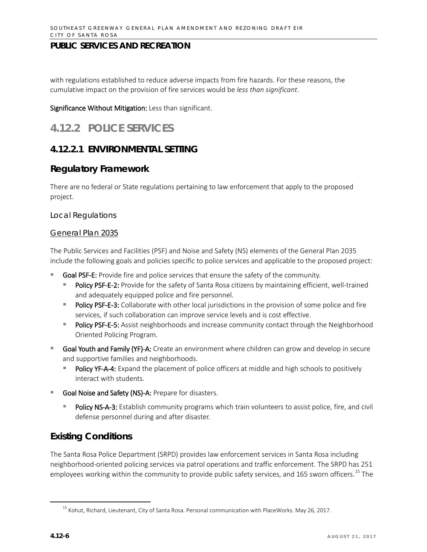with regulations established to reduce adverse impacts from fire hazards. For these reasons, the cumulative impact on the provision of fire services would be *less than significant*.

Significance Without Mitigation: Less than significant.

# **4.12.2 POLICE SERVICES**

# **4.12.2.1 ENVIRONMENTAL SETTING**

## **Regulatory Framework**

There are no federal or State regulations pertaining to law enforcement that apply to the proposed project.

#### *Local Regulations*

#### General Plan 2035

The Public Services and Facilities (PSF) and Noise and Safety (NS) elements of the General Plan 2035 include the following goals and policies specific to police services and applicable to the proposed project:

- Goal PSF-E: Provide fire and police services that ensure the safety of the community.
	- Policy PSF-E-2: Provide for the safety of Santa Rosa citizens by maintaining efficient, well-trained and adequately equipped police and fire personnel.
	- Policy PSF-E-3: Collaborate with other local jurisdictions in the provision of some police and fire services, if such collaboration can improve service levels and is cost effective.
	- Policy PSF-E-5: Assist neighborhoods and increase community contact through the Neighborhood Oriented Policing Program.
- Goal Youth and Family (YF)-A: Create an environment where children can grow and develop in secure and supportive families and neighborhoods.
	- Policy YF-A-4: Expand the placement of police officers at middle and high schools to positively interact with students.
- Goal Noise and Safety (NS)-A: Prepare for disasters.
	- Policy NS-A-3: Establish community programs which train volunteers to assist police, fire, and civil defense personnel during and after disaster.

# **Existing Conditions**

The Santa Rosa Police Department (SRPD) provides law enforcement services in Santa Rosa including neighborhood-oriented policing services via patrol operations and traffic enforcement. The SRPD has 251 employees working within the community to provide public safety services, and 165 sworn officers.<sup>[15](#page-5-0)</sup> The

<span id="page-5-0"></span> <sup>15</sup> Kohut, Richard, Lieutenant, City of Santa Rosa. Personal communication with PlaceWorks. May 26, 2017.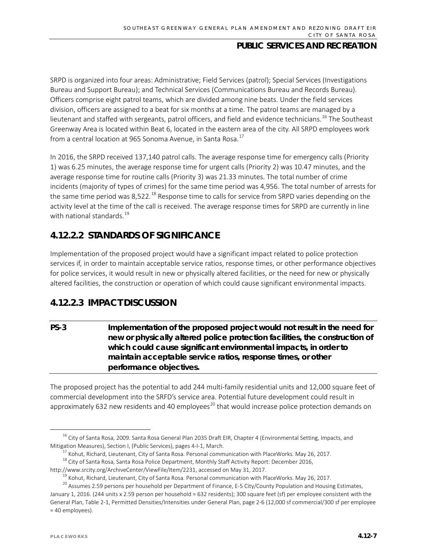SRPD is organized into four areas: Administrative; Field Services (patrol); Special Services (Investigations Bureau and Support Bureau); and Technical Services (Communications Bureau and Records Bureau). Officers comprise eight patrol teams, which are divided among nine beats. Under the field services division, officers are assigned to a beat for six months at a time. The patrol teams are managed by a lieutenant and staffed with sergeants, patrol officers, and field and evidence technicians.<sup>[16](#page-6-0)</sup> The Southeast Greenway Area is located within Beat 6, located in the eastern area of the city. All SRPD employees work from a central location at 965 Sonoma Avenue, in Santa Rosa.<sup>[17](#page-6-1)</sup>

In 2016, the SRPD received 137,140 patrol calls. The average response time for emergency calls (Priority 1) was 6.25 minutes, the average response time for urgent calls (Priority 2) was 10.47 minutes, and the average response time for routine calls (Priority 3) was 21.33 minutes. The total number of crime incidents (majority of types of crimes) for the same time period was 4,956. The total number of arrests for the same time period was 8,522.<sup>[18](#page-6-2)</sup> Response time to calls for service from SRPD varies depending on the activity level at the time of the call is received. The average response times for SRPD are currently in line with national standards.<sup>[19](#page-6-3)</sup>

# **4.12.2.2 STANDARDS OF SIGNIFICANCE**

Implementation of the proposed project would have a significant impact related to police protection services if, in order to maintain acceptable service ratios, response times, or other performance objectives for police services, it would result in new or physically altered facilities, or the need for new or physically altered facilities, the construction or operation of which could cause significant environmental impacts.

# **4.12.2.3 IMPACT DISCUSSION**

# **PS-3 Implementation of the proposed project would not result in the need for new or physically altered police protection facilities, the construction of which could cause significant environmental impacts, in order to maintain acceptable service ratios, response times, or other performance objectives.**

The proposed project has the potential to add 244 multi-family residential units and 12,000 square feet of commercial development into the SRFD's service area. Potential future development could result in approximately 632 new residents and 40 employees<sup>[20](#page-6-4)</sup> that would increase police protection demands on

<span id="page-6-0"></span><sup>&</sup>lt;sup>16</sup> City of Santa Rosa, 2009. Santa Rosa General Plan 2035 Draft EIR, Chapter 4 (Environmental Setting, Impacts, and Mitigation Measures), Section I, (Public Services), pages 4-I-1, March.

 $17$  Kohut, Richard, Lieutenant, City of Santa Rosa. Personal communication with PlaceWorks. May 26, 2017.

<span id="page-6-2"></span><span id="page-6-1"></span><sup>&</sup>lt;sup>18</sup> City of Santa Rosa, Santa Rosa Police Department, Monthly Staff Activity Report: December 2016, http://www.srcity.org/ArchiveCenter/ViewFile/Item/2231, accessed on May 31, 2017.

 $19$  Kohut, Richard, Lieutenant, City of Santa Rosa. Personal communication with PlaceWorks. May 26, 2017.

<span id="page-6-4"></span><span id="page-6-3"></span><sup>&</sup>lt;sup>20</sup> Assumes 2.59 persons per household per Department of Finance, E-5 City/County Population and Housing Estimates, January 1, 2016. (244 units x 2.59 person per household = 632 residents); 300 square feet (sf) per employee consistent with the General Plan, Table 2-1, Permitted Densities/Intensities under General Plan, page 2-6 (12,000 sf commercial/300 sf per employee = 40 employees).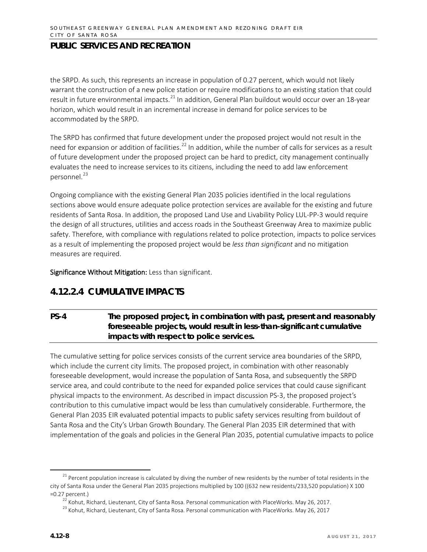the SRPD. As such, this represents an increase in population of 0.27 percent, which would not likely warrant the construction of a new police station or require modifications to an existing station that could result in future environmental impacts.<sup>[21](#page-7-0)</sup> In addition, General Plan buildout would occur over an 18-year horizon, which would result in an incremental increase in demand for police services to be accommodated by the SRPD.

The SRPD has confirmed that future development under the proposed project would not result in the need for expansion or addition of facilities.<sup>[22](#page-7-1)</sup> In addition, while the number of calls for services as a result of future development under the proposed project can be hard to predict, city management continually evaluates the need to increase services to its citizens, including the need to add law enforcement personnel.<sup>[23](#page-7-2)</sup>

Ongoing compliance with the existing General Plan 2035 policies identified in the local regulations sections above would ensure adequate police protection services are available for the existing and future residents of Santa Rosa. In addition, the proposed Land Use and Livability Policy LUL-PP-3 would require the design of all structures, utilities and access roads in the Southeast Greenway Area to maximize public safety. Therefore, with compliance with regulations related to police protection, impacts to police services as a result of implementing the proposed project would be *less than significant* and no mitigation measures are required.

Significance Without Mitigation: Less than significant.

# **4.12.2.4 CUMULATIVE IMPACTS**

## **PS-4 The proposed project, in combination with past, present and reasonably foreseeable projects, would result in less-than-significant cumulative impacts with respect to police services.**

The cumulative setting for police services consists of the current service area boundaries of the SRPD, which include the current city limits. The proposed project, in combination with other reasonably foreseeable development, would increase the population of Santa Rosa, and subsequently the SRPD service area, and could contribute to the need for expanded police services that could cause significant physical impacts to the environment. As described in impact discussion PS-3, the proposed project's contribution to this cumulative impact would be less than cumulatively considerable. Furthermore, the General Plan 2035 EIR evaluated potential impacts to public safety services resulting from buildout of Santa Rosa and the City's Urban Growth Boundary. The General Plan 2035 EIR determined that with implementation of the goals and policies in the General Plan 2035, potential cumulative impacts to police

<span id="page-7-2"></span><span id="page-7-1"></span><span id="page-7-0"></span><sup>&</sup>lt;sup>21</sup> Percent population increase is calculated by diving the number of new residents by the number of total residents in the city of Santa Rosa under the General Plan 2035 projections multiplied by 100 ((632 new residents/233,520 population) X 100 =0.27 percent.)

<sup>&</sup>lt;sup>22</sup> Kohut, Richard, Lieutenant, City of Santa Rosa. Personal communication with PlaceWorks. May 26, 2017.

<sup>&</sup>lt;sup>23</sup> Kohut, Richard, Lieutenant, City of Santa Rosa. Personal communication with PlaceWorks. May 26, 2017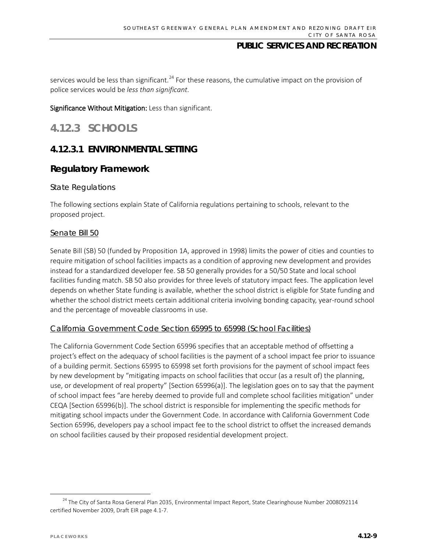services would be less than significant.<sup>[24](#page-8-0)</sup> For these reasons, the cumulative impact on the provision of police services would be *less than significant*.

Significance Without Mitigation: Less than significant.

# **4.12.3 SCHOOLS**

# **4.12.3.1 ENVIRONMENTAL SETTING**

## **Regulatory Framework**

#### *State Regulations*

The following sections explain State of California regulations pertaining to schools, relevant to the proposed project.

#### Senate Bill 50

Senate Bill (SB) 50 (funded by Proposition 1A, approved in 1998) limits the power of cities and counties to require mitigation of school facilities impacts as a condition of approving new development and provides instead for a standardized developer fee. SB 50 generally provides for a 50/50 State and local school facilities funding match. SB 50 also provides for three levels of statutory impact fees. The application level depends on whether State funding is available, whether the school district is eligible for State funding and whether the school district meets certain additional criteria involving bonding capacity, year-round school and the percentage of moveable classrooms in use.

#### California Government Code Section 65995 to 65998 (School Facilities)

The California Government Code Section 65996 specifies that an acceptable method of offsetting a project's effect on the adequacy of school facilities is the payment of a school impact fee prior to issuance of a building permit. Sections 65995 to 65998 set forth provisions for the payment of school impact fees by new development by "mitigating impacts on school facilities that occur (as a result of) the planning, use, or development of real property" [Section 65996(a)]. The legislation goes on to say that the payment of school impact fees "are hereby deemed to provide full and complete school facilities mitigation" under CEQA [Section 65996(b)]. The school district is responsible for implementing the specific methods for mitigating school impacts under the Government Code. In accordance with California Government Code Section 65996, developers pay a school impact fee to the school district to offset the increased demands on school facilities caused by their proposed residential development project.

<span id="page-8-0"></span><sup>&</sup>lt;sup>24</sup> The City of Santa Rosa General Plan 2035, Environmental Impact Report, State Clearinghouse Number 2008092114 certified November 2009, Draft EIR page 4.1-7.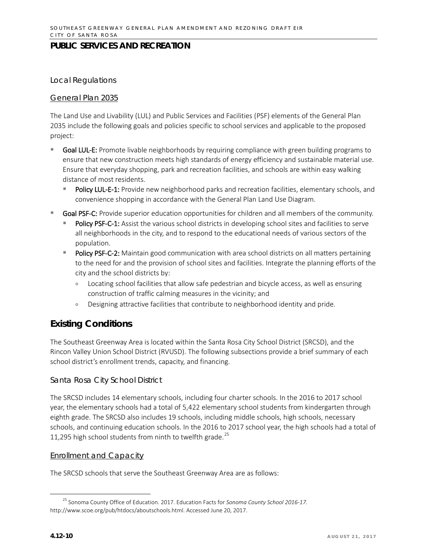#### *Local Regulations*

#### General Plan 2035

The Land Use and Livability (LUL) and Public Services and Facilities (PSF) elements of the General Plan 2035 include the following goals and policies specific to school services and applicable to the proposed project:

- Goal LUL-E: Promote livable neighborhoods by requiring compliance with green building programs to ensure that new construction meets high standards of energy efficiency and sustainable material use. Ensure that everyday shopping, park and recreation facilities, and schools are within easy walking distance of most residents.
	- Policy LUL-E-1: Provide new neighborhood parks and recreation facilities, elementary schools, and convenience shopping in accordance with the General Plan Land Use Diagram.
- Goal PSF-C: Provide superior education opportunities for children and all members of the community.
	- Policy PSF-C-1: Assist the various school districts in developing school sites and facilities to serve all neighborhoods in the city, and to respond to the educational needs of various sectors of the population.
	- Policy PSF-C-2: Maintain good communication with area school districts on all matters pertaining to the need for and the provision of school sites and facilities. Integrate the planning efforts of the city and the school districts by:
		- Locating school facilities that allow safe pedestrian and bicycle access, as well as ensuring construction of traffic calming measures in the vicinity; and
		- Designing attractive facilities that contribute to neighborhood identity and pride.

# **Existing Conditions**

The Southeast Greenway Area is located within the Santa Rosa City School District (SRCSD), and the Rincon Valley Union School District (RVUSD). The following subsections provide a brief summary of each school district's enrollment trends, capacity, and financing.

#### *Santa Rosa City School District*

The SRCSD includes 14 elementary schools, including four charter schools. In the 2016 to 2017 school year, the elementary schools had a total of 5,422 elementary school students from kindergarten through eighth grade. The SRCSD also includes 19 schools, including middle schools, high schools, necessary schools, and continuing education schools. In the 2016 to 2017 school year, the high schools had a total of 11,295 high school students from ninth to twelfth grade. $^{25}$  $^{25}$  $^{25}$ 

#### Enrollment and Capacity

The SRCSD schools that serve the Southeast Greenway Area are as follows:

<span id="page-9-0"></span> <sup>25</sup> Sonoma County Office of Education. 2017. Education Facts for *Sonoma County School 2016-17.* [http://www.scoe.org/pub/htdocs/aboutschools.html.](http://www.scoe.org/pub/htdocs/aboutschools.html) Accessed June 20, 2017.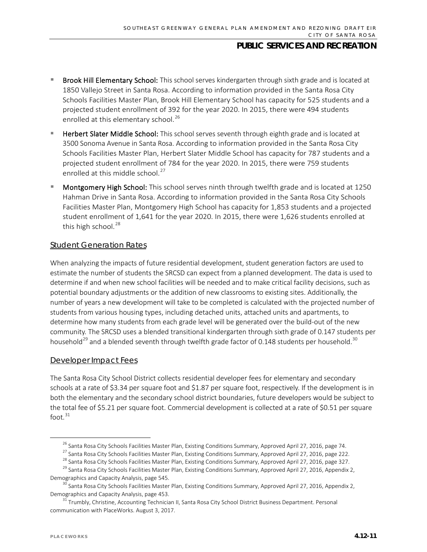- Brook Hill Elementary School: This school serves kindergarten through sixth grade and is located at 1850 Vallejo Street in Santa Rosa. According to information provided in the Santa Rosa City Schools Facilities Master Plan, Brook Hill Elementary School has capacity for 525 students and a projected student enrollment of 392 for the year 2020. In 2015, there were 494 students enrolled at this elementary school.<sup>[26](#page-10-0)</sup>
- Herbert Slater Middle School: This school serves seventh through eighth grade and is located at 3500 Sonoma Avenue in Santa Rosa. According to information provided in the Santa Rosa City Schools Facilities Master Plan, Herbert Slater Middle School has capacity for 787 students and a projected student enrollment of 784 for the year 2020. In 2015, there were 759 students enrolled at this middle school. $27$
- Montgomery High School: This school serves ninth through twelfth grade and is located at 1250 Hahman Drive in Santa Rosa. According to information provided in the Santa Rosa City Schools Facilities Master Plan, Montgomery High School has capacity for 1,853 students and a projected student enrollment of 1,641 for the year 2020. In 2015, there were 1,626 students enrolled at this high school. $^{28}$  $^{28}$  $^{28}$

#### Student Generation Rates

When analyzing the impacts of future residential development, student generation factors are used to estimate the number of students the SRCSD can expect from a planned development. The data is used to determine if and when new school facilities will be needed and to make critical facility decisions, such as potential boundary adjustments or the addition of new classrooms to existing sites. Additionally, the number of years a new development will take to be completed is calculated with the projected number of students from various housing types, including detached units, attached units and apartments, to determine how many students from each grade level will be generated over the build-out of the new community. The SRCSD uses a blended transitional kindergarten through sixth grade of 0.147 students per household<sup>[29](#page-10-3)</sup> and a blended seventh through twelfth grade factor of 0.148 students per household.<sup>[30](#page-10-4)</sup>

#### Developer Impact Fees

The Santa Rosa City School District collects residential developer fees for elementary and secondary schools at a rate of \$3.34 per square foot and \$1.87 per square foot, respectively. If the development is in both the elementary and the secondary school district boundaries, future developers would be subject to the total fee of \$5.21 per square foot. Commercial development is collected at a rate of \$0.51 per square foot. $31$ 

<sup>&</sup>lt;sup>26</sup> Santa Rosa City Schools Facilities Master Plan, Existing Conditions Summary, Approved April 27, 2016, page 74.<br><sup>27</sup> Santa Rosa City Schools Facilities Master Plan, Existing Conditions Summary, Approved April 27, 2016

<span id="page-10-3"></span><span id="page-10-2"></span><span id="page-10-1"></span><span id="page-10-0"></span>Demographics and Capacity Analysis, page 545.

<span id="page-10-4"></span> $30$  Santa Rosa City Schools Facilities Master Plan, Existing Conditions Summary, Approved April 27, 2016, Appendix 2, Demographics and Capacity Analysis, page 453.

<span id="page-10-5"></span><sup>&</sup>lt;sup>31</sup> Trumbly, Christine, Accounting Technician II, Santa Rosa City School District Business Department. Personal communication with PlaceWorks. August 3, 2017.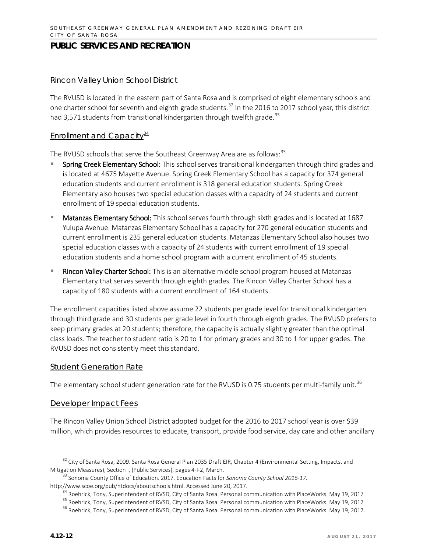#### *Rincon Valley Union School District*

The RVUSD is located in the eastern part of Santa Rosa and is comprised of eight elementary schools and one charter school for seventh and eighth grade students.<sup>[32](#page-11-0)</sup> In the 2016 to 2017 school year, this district had 3,571 students from transitional kindergarten through twelfth grade.<sup>[33](#page-11-1)</sup>

#### Enrollment and Capacity $\frac{34}{3}$  $\frac{34}{3}$  $\frac{34}{3}$

The RVUSD schools that serve the Southeast Greenway Area are as follows:<sup>[35](#page-11-3)</sup>

- Spring Creek Elementary School: This school serves transitional kindergarten through third grades and is located at 4675 Mayette Avenue. Spring Creek Elementary School has a capacity for 374 general education students and current enrollment is 318 general education students. Spring Creek Elementary also houses two special education classes with a capacity of 24 students and current enrollment of 19 special education students.
- Matanzas Elementary School: This school serves fourth through sixth grades and is located at 1687 Yulupa Avenue. Matanzas Elementary School has a capacity for 270 general education students and current enrollment is 235 general education students. Matanzas Elementary School also houses two special education classes with a capacity of 24 students with current enrollment of 19 special education students and a home school program with a current enrollment of 45 students.
- Rincon Valley Charter School: This is an alternative middle school program housed at Matanzas Elementary that serves seventh through eighth grades. The Rincon Valley Charter School has a capacity of 180 students with a current enrollment of 164 students.

The enrollment capacities listed above assume 22 students per grade level for transitional kindergarten through third grade and 30 students per grade level in fourth through eighth grades. The RVUSD prefers to keep primary grades at 20 students; therefore, the capacity is actually slightly greater than the optimal class loads. The teacher to student ratio is 20 to 1 for primary grades and 30 to 1 for upper grades. The RVUSD does not consistently meet this standard.

#### Student Generation Rate

The elementary school student generation rate for the RVUSD is 0.75 students per multi-family unit.  $^{36}$  $^{36}$  $^{36}$ 

#### Developer Impact Fees

The Rincon Valley Union School District adopted budget for the 2016 to 2017 school year is over \$39 million, which provides resources to educate, transport, provide food service, day care and other ancillary

<span id="page-11-0"></span><sup>&</sup>lt;sup>32</sup> City of Santa Rosa, 2009. Santa Rosa General Plan 2035 Draft EIR, Chapter 4 (Environmental Setting, Impacts, and Mitigation Measures), Section I, (Public Services), pages 4-I-2, March.

<sup>33</sup> Sonoma County Office of Education. 2017. Education Facts for *Sonoma County School 2016-17.*

<span id="page-11-4"></span><span id="page-11-3"></span><span id="page-11-2"></span><span id="page-11-1"></span>[http://www.scoe.org/pub/htdocs/aboutschools.html.](http://www.scoe.org/pub/htdocs/aboutschools.html) Accessed June 20, 2017.

<sup>&</sup>lt;sup>4</sup> Roehrick, Tony, Superintendent of RVSD, City of Santa Rosa. Personal communication with PlaceWorks. May 19, 2017

<sup>35</sup> Roehrick, Tony, Superintendent of RVSD, City of Santa Rosa. Personal communication with PlaceWorks. May 19, 2017

<sup>&</sup>lt;sup>36</sup> Roehrick, Tony, Superintendent of RVSD, City of Santa Rosa. Personal communication with PlaceWorks. May 19, 2017.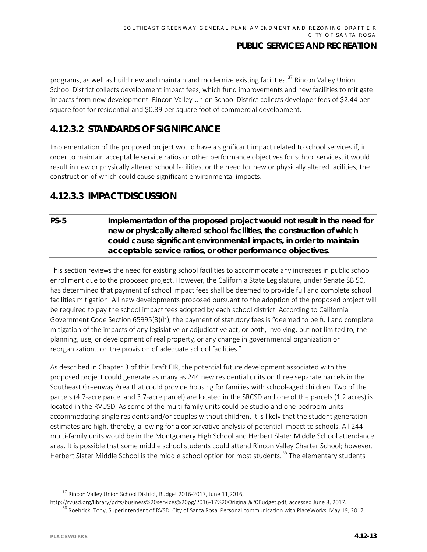programs, as well as build new and maintain and modernize existing facilities.<sup>[37](#page-12-0)</sup> Rincon Valley Union School District collects development impact fees, which fund improvements and new facilities to mitigate impacts from new development. Rincon Valley Union School District collects developer fees of \$2.44 per square foot for residential and \$0.39 per square foot of commercial development.

# **4.12.3.2 STANDARDS OF SIGNIFICANCE**

Implementation of the proposed project would have a significant impact related to school services if, in order to maintain acceptable service ratios or other performance objectives for school services, it would result in new or physically altered school facilities, or the need for new or physically altered facilities, the construction of which could cause significant environmental impacts.

# **4.12.3.3 IMPACT DISCUSSION**

### **PS-5 Implementation of the proposed project would not result in the need for new or physically altered school facilities, the construction of which could cause significant environmental impacts, in order to maintain acceptable service ratios, or other performance objectives.**

This section reviews the need for existing school facilities to accommodate any increases in public school enrollment due to the proposed project. However, the California State Legislature, under Senate SB 50, has determined that payment of school impact fees shall be deemed to provide full and complete school facilities mitigation. All new developments proposed pursuant to the adoption of the proposed project will be required to pay the school impact fees adopted by each school district. According to California Government Code Section 65995(3)(h), the payment of statutory fees is "deemed to be full and complete mitigation of the impacts of any legislative or adjudicative act, or both, involving, but not limited to, the planning, use, or development of real property, or any change in governmental organization or reorganization...on the provision of adequate school facilities."

As described in Chapter 3 of this Draft EIR, the potential future development associated with the proposed project could generate as many as 244 new residential units on three separate parcels in the Southeast Greenway Area that could provide housing for families with school-aged children. Two of the parcels (4.7-acre parcel and 3.7-acre parcel) are located in the SRCSD and one of the parcels (1.2 acres) is located in the RVUSD. As some of the multi-family units could be studio and one-bedroom units accommodating single residents and/or couples without children, it is likely that the student generation estimates are high, thereby, allowing for a conservative analysis of potential impact to schools. All 244 multi-family units would be in the Montgomery High School and Herbert Slater Middle School attendance area. It is possible that some middle school students could attend Rincon Valley Charter School; however, Herbert Slater Middle School is the middle school option for most students.<sup>[38](#page-12-1)</sup> The elementary students

<span id="page-12-1"></span>[http://rvusd.org/library/pdfs/business%20services%20pg/2016-17%20Original%20Budget.pdf,](http://rvusd.org/library/pdfs/business%20services%20pg/2016-17%20Original%20Budget.pdf) accessed June 8, 2017.<br><sup>[38](http://rvusd.org/library/pdfs/business%20services%20pg/2016-17%20Original%20Budget.pdf)</sup> Roehrick, Tony, Superintendent of RVSD, City of Santa Rosa. Personal communication with PlaceWorks. May 19

<span id="page-12-0"></span><sup>&</sup>lt;sup>37</sup> Rincon Valley Union School District, Budget 2016-2017, June 11,2016,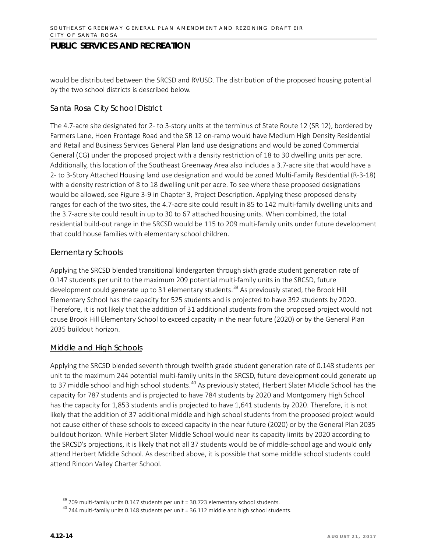would be distributed between the SRCSD and RVUSD. The distribution of the proposed housing potential by the two school districts is described below.

#### *Santa Rosa City School District*

The 4.7-acre site designated for 2- to 3-story units at the terminus of State Route 12 (SR 12), bordered by Farmers Lane, Hoen Frontage Road and the SR 12 on-ramp would have Medium High Density Residential and Retail and Business Services General Plan land use designations and would be zoned Commercial General (CG) under the proposed project with a density restriction of 18 to 30 dwelling units per acre. Additionally, this location of the Southeast Greenway Area also includes a 3.7-acre site that would have a 2- to 3-Story Attached Housing land use designation and would be zoned Multi-Family Residential (R-3-18) with a density restriction of 8 to 18 dwelling unit per acre. To see where these proposed designations would be allowed, see Figure 3-9 in Chapter 3, Project Description. Applying these proposed density ranges for each of the two sites, the 4.7-acre site could result in 85 to 142 multi-family dwelling units and the 3.7-acre site could result in up to 30 to 67 attached housing units. When combined, the total residential build-out range in the SRCSD would be 115 to 209 multi-family units under future development that could house families with elementary school children.

#### Elementary Schools

Applying the SRCSD blended transitional kindergarten through sixth grade student generation rate of 0.147 students per unit to the maximum 209 potential multi-family units in the SRCSD, future development could generate up to 31 elementary students.<sup>[39](#page-13-0)</sup> As previously stated, the Brook Hill Elementary School has the capacity for 525 students and is projected to have 392 students by 2020. Therefore, it is not likely that the addition of 31 additional students from the proposed project would not cause Brook Hill Elementary School to exceed capacity in the near future (2020) or by the General Plan 2035 buildout horizon.

#### Middle and High Schools

Applying the SRCSD blended seventh through twelfth grade student generation rate of 0.148 students per unit to the maximum 244 potential multi-family units in the SRCSD, future development could generate up to 37 middle school and high school students.<sup>[40](#page-13-1)</sup> As previously stated, Herbert Slater Middle School has the capacity for 787 students and is projected to have 784 students by 2020 and Montgomery High School has the capacity for 1,853 students and is projected to have 1,641 students by 2020. Therefore, it is not likely that the addition of 37 additional middle and high school students from the proposed project would not cause either of these schools to exceed capacity in the near future (2020) or by the General Plan 2035 buildout horizon. While Herbert Slater Middle School would near its capacity limits by 2020 according to the SRCSD's projections, it is likely that not all 37 students would be of middle-school age and would only attend Herbert Middle School. As described above, it is possible that some middle school students could attend Rincon Valley Charter School.

<span id="page-13-1"></span><span id="page-13-0"></span>

<sup>&</sup>lt;sup>39</sup> 209 multi-family units 0.147 students per unit = 30.723 elementary school students.<br><sup>40</sup> 244 multi-family units 0.148 students per unit = 36.112 middle and high school students.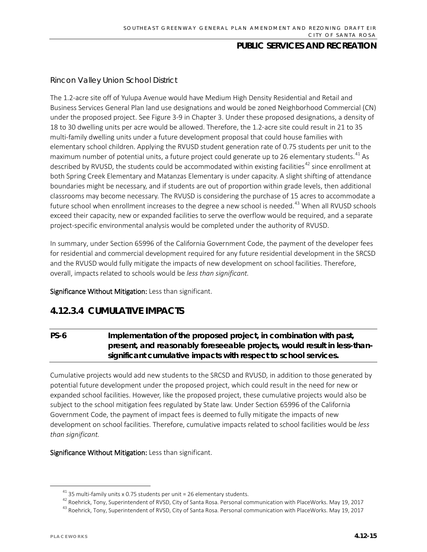### *Rincon Valley Union School District*

The 1.2-acre site off of Yulupa Avenue would have Medium High Density Residential and Retail and Business Services General Plan land use designations and would be zoned Neighborhood Commercial (CN) under the proposed project. See Figure 3-9 in Chapter 3. Under these proposed designations, a density of 18 to 30 dwelling units per acre would be allowed. Therefore, the 1.2-acre site could result in 21 to 35 multi-family dwelling units under a future development proposal that could house families with elementary school children. Applying the RVUSD student generation rate of 0.75 students per unit to the maximum number of potential units, a future project could generate up to 26 elementary students.<sup>[41](#page-14-0)</sup> As described by RVUSD, the students could be accommodated within existing facilities<sup>[42](#page-14-1)</sup> since enrollment at both Spring Creek Elementary and Matanzas Elementary is under capacity. A slight shifting of attendance boundaries might be necessary, and if students are out of proportion within grade levels, then additional classrooms may become necessary. The RVUSD is considering the purchase of 15 acres to accommodate a future school when enrollment increases to the degree a new school is needed.<sup>[43](#page-14-2)</sup> When all RVUSD schools exceed their capacity, new or expanded facilities to serve the overflow would be required, and a separate project-specific environmental analysis would be completed under the authority of RVUSD.

In summary, under Section 65996 of the California Government Code, the payment of the developer fees for residential and commercial development required for any future residential development in the SRCSD and the RVUSD would fully mitigate the impacts of new development on school facilities. Therefore, overall, impacts related to schools would be *less than significant.* 

Significance Without Mitigation: Less than significant.

# **4.12.3.4 CUMULATIVE IMPACTS**

# **PS-6 Implementation of the proposed project, in combination with past, present, and reasonably foreseeable projects, would result in less-thansignificant cumulative impacts with respect to school services.**

Cumulative projects would add new students to the SRCSD and RVUSD, in addition to those generated by potential future development under the proposed project, which could result in the need for new or expanded school facilities. However, like the proposed project, these cumulative projects would also be subject to the school mitigation fees regulated by State law. Under Section 65996 of the California Government Code, the payment of impact fees is deemed to fully mitigate the impacts of new development on school facilities. Therefore, cumulative impacts related to school facilities would be *less than significant.*

Significance Without Mitigation: Less than significant.

<sup>41</sup> 35 multi-family units x 0.75 students per unit = 26 elementary students.<br><sup>42</sup> Roehrick, Tony, Superintendent of RVSD, City of Santa Rosa. Personal communication with PlaceWorks. May 19, 2017

<span id="page-14-0"></span>

<span id="page-14-2"></span><span id="page-14-1"></span> $^{43}$  Roehrick, Tony, Superintendent of RVSD, City of Santa Rosa. Personal communication with PlaceWorks. May 19, 2017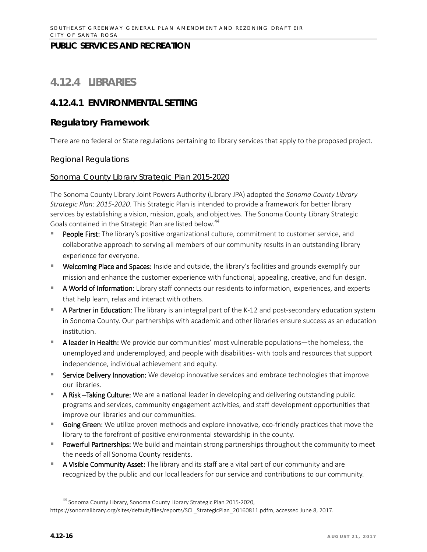# **4.12.4 LIBRARIES**

# **4.12.4.1 ENVIRONMENTAL SETTING**

# **Regulatory Framework**

There are no federal or State regulations pertaining to library services that apply to the proposed project.

#### *Regional Regulations*

#### Sonoma County Library Strategic Plan 2015-2020

The Sonoma County Library Joint Powers Authority (Library JPA) adopted the *Sonoma County Library Strategic Plan: 2015-2020.* This Strategic Plan is intended to provide a framework for better library services by establishing a vision, mission, goals, and objectives. The Sonoma County Library Strategic Goals contained in the Strategic Plan are listed below.<sup>[44](#page-15-0)</sup>

- People First: The library's positive organizational culture, commitment to customer service, and collaborative approach to serving all members of our community results in an outstanding library experience for everyone.
- **Welcoming Place and Spaces:** Inside and outside, the library's facilities and grounds exemplify our mission and enhance the customer experience with functional, appealing, creative, and fun design.
- **A World of Information:** Library staff connects our residents to information, experiences, and experts that help learn, relax and interact with others.
- A Partner in Education: The library is an integral part of the K-12 and post-secondary education system in Sonoma County. Our partnerships with academic and other libraries ensure success as an education institution.
- A leader in Health: We provide our communities' most vulnerable populations—the homeless, the unemployed and underemployed, and people with disabilities- with tools and resources that support independence, individual achievement and equity.
- Service Delivery Innovation: We develop innovative services and embrace technologies that improve our libraries.
- **A Risk -Taking Culture:** We are a national leader in developing and delivering outstanding public programs and services, community engagement activities, and staff development opportunities that improve our libraries and our communities.
- Going Green: We utilize proven methods and explore innovative, eco-friendly practices that move the library to the forefront of positive environmental stewardship in the county.
- **Powerful Partnerships:** We build and maintain strong partnerships throughout the community to meet the needs of all Sonoma County residents.
- A Visible Community Asset: The library and its staff are a vital part of our community and are recognized by the public and our local leaders for our service and contributions to our community.

<span id="page-15-0"></span><sup>&</sup>lt;sup>44</sup> Sonoma County Library, Sonoma County Library Strategic Plan 2015-2020, [https://sonomalibrary.org/sites/default/files/reports/SCL\\_StrategicPlan\\_20160811.pdfm,](https://sonomalibrary.org/sites/default/files/reports/SCL_StrategicPlan_20160811.pdfm) accessed June 8, 2017.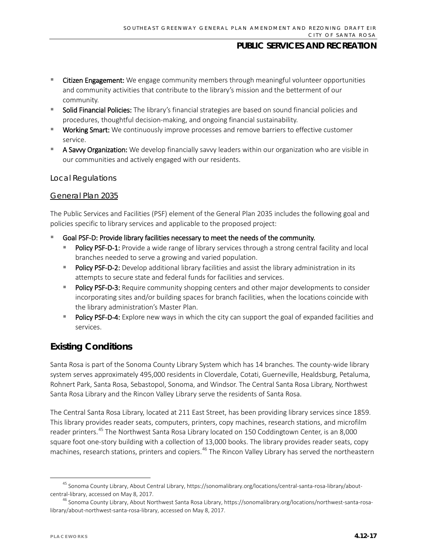- **EXTE:** Citizen Engagement: We engage community members through meaningful volunteer opportunities and community activities that contribute to the library's mission and the betterment of our community.
- **Solid Financial Policies:** The library's financial strategies are based on sound financial policies and procedures, thoughtful decision-making, and ongoing financial sustainability.
- **Working Smart:** We continuously improve processes and remove barriers to effective customer service.
- **A Savvy Organization:** We develop financially savvy leaders within our organization who are visible in our communities and actively engaged with our residents.

#### *Local Regulations*

#### General Plan 2035

The Public Services and Facilities (PSF) element of the General Plan 2035 includes the following goal and policies specific to library services and applicable to the proposed project:

- Goal PSF-D: Provide library facilities necessary to meet the needs of the community.
	- **Policy PSF-D-1:** Provide a wide range of library services through a strong central facility and local branches needed to serve a growing and varied population.
	- Policy PSF-D-2: Develop additional library facilities and assist the library administration in its attempts to secure state and federal funds for facilities and services.
	- Policy PSF-D-3: Require community shopping centers and other major developments to consider incorporating sites and/or building spaces for branch facilities, when the locations coincide with the library administration's Master Plan.
	- **Policy PSF-D-4:** Explore new ways in which the city can support the goal of expanded facilities and services.

# **Existing Conditions**

Santa Rosa is part of the Sonoma County Library System which has 14 branches. The county-wide library system serves approximately 495,000 residents in Cloverdale, Cotati, Guerneville, Healdsburg, Petaluma, Rohnert Park, Santa Rosa, Sebastopol, Sonoma, and Windsor. The Central Santa Rosa Library, Northwest Santa Rosa Library and the Rincon Valley Library serve the residents of Santa Rosa.

The Central Santa Rosa Library, located at 211 East Street, has been providing library services since 1859. This library provides reader seats, computers, printers, copy machines, research stations, and microfilm reader printers.[45](#page-16-0) The Northwest Santa Rosa Library located on 150 Coddingtown Center, is an 8,000 square foot one-story building with a collection of 13,000 books. The library provides reader seats, copy machines, research stations, printers and copiers.<sup>[46](#page-16-1)</sup> The Rincon Valley Library has served the northeastern

<span id="page-16-0"></span> <sup>45</sup> Sonoma County Library, About Central Library, https://sonomalibrary.org/locations/central-santa-rosa-library/aboutcentral-library, accessed on May 8, 2017.

<span id="page-16-1"></span><sup>46</sup> Sonoma County Library, About Northwest Santa Rosa Library[, https://sonomalibrary.org/locations/northwest-santa-rosa](https://sonomalibrary.org/locations/northwest-santa-rosa-library/about-northwest-santa-rosa-library)[library/about-northwest-santa-rosa-library,](https://sonomalibrary.org/locations/northwest-santa-rosa-library/about-northwest-santa-rosa-library) accessed on May 8, 2017.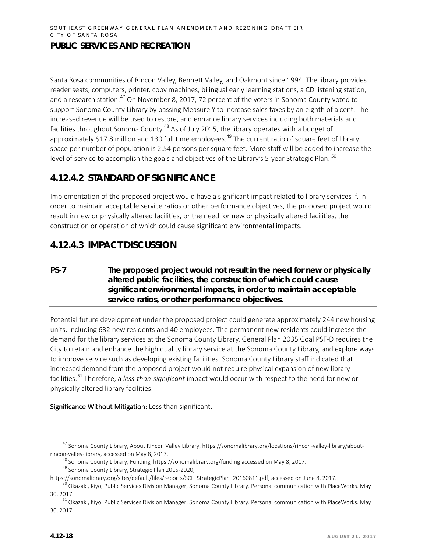Santa Rosa communities of Rincon Valley, Bennett Valley, and Oakmont since 1994. The library provides reader seats, computers, printer, copy machines, bilingual early learning stations, a CD listening station, and a research station.<sup>[47](#page-17-0)</sup> On November 8, 2017, 72 percent of the voters in Sonoma County voted to support Sonoma County Library by passing Measure Y to increase sales taxes by an eighth of a cent. The increased revenue will be used to restore, and enhance library services including both materials and facilities throughout Sonoma County.<sup>[48](#page-17-1)</sup> As of July 2015, the library operates with a budget of approximately \$17.8 million and 130 full time employees.<sup>[49](#page-17-2)</sup> The current ratio of square feet of library space per number of population is 2.54 persons per square feet. More staff will be added to increase the level of service to accomplish the goals and objectives of the Library's 5-year Strategic Plan. <sup>[50](#page-17-3)</sup>

# **4.12.4.2 STANDARD OF SIGNIFICANCE**

Implementation of the proposed project would have a significant impact related to library services if, in order to maintain acceptable service ratios or other performance objectives, the proposed project would result in new or physically altered facilities, or the need for new or physically altered facilities, the construction or operation of which could cause significant environmental impacts.

# **4.12.4.3 IMPACT DISCUSSION**

# **PS-7 The proposed project would not result in the need for new or physically altered public facilities, the construction of which could cause significant environmental impacts, in order to maintain acceptable service ratios, or other performance objectives.**

Potential future development under the proposed project could generate approximately 244 new housing units, including 632 new residents and 40 employees. The permanent new residents could increase the demand for the library services at the Sonoma County Library. General Plan 2035 Goal PSF-D requires the City to retain and enhance the high quality library service at the Sonoma County Library, and explore ways to improve service such as developing existing facilities. Sonoma County Library staff indicated that increased demand from the proposed project would not require physical expansion of new library facilities.[51](#page-17-4) Therefore, a *less-than-significant* impact would occur with respect to the need for new or physically altered library facilities.

<span id="page-17-0"></span> <sup>47</sup> Sonoma County Library, About Rincon Valley Library, https://sonomalibrary.org/locations/rincon-valley-library/aboutrincon-valley-library, accessed on May 8, 2017.

<sup>&</sup>lt;sup>48</sup> Sonoma County Library, Funding, https://sonomalibrary.org/funding accessed on May 8, 2017.

<span id="page-17-2"></span><span id="page-17-1"></span><sup>&</sup>lt;sup>49</sup> Sonoma County Library, Strategic Plan 2015-2020,<br>https://sonomalibrary.org/sites/default/files/reports/SCL StrategicPlan 20160811.pdf, accessed on June 8, 2017.

<span id="page-17-3"></span><sup>&</sup>lt;sup>[50](https://sonomalibrary.org/sites/default/files/reports/SCL_StrategicPlan_20160811.pdf)</sup> Okazaki, Kiyo, Public Services Division Manager, Sonoma County Library. Personal communication with PlaceWorks. May 30, 2017

<span id="page-17-4"></span><sup>&</sup>lt;sup>51</sup> Okazaki, Kiyo, Public Services Division Manager, Sonoma County Library. Personal communication with PlaceWorks. May 30, 2017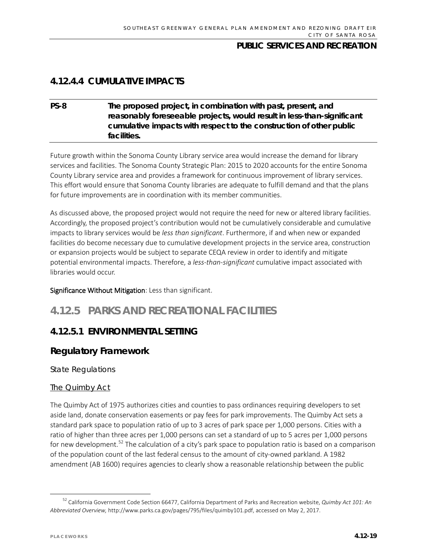# **4.12.4.4 CUMULATIVE IMPACTS**

### **PS-8 The proposed project, in combination with past, present, and reasonably foreseeable projects, would result in less-than-significant cumulative impacts with respect to the construction of other public facilities.**

Future growth within the Sonoma County Library service area would increase the demand for library services and facilities. The Sonoma County Strategic Plan: 2015 to 2020 accounts for the entire Sonoma County Library service area and provides a framework for continuous improvement of library services. This effort would ensure that Sonoma County libraries are adequate to fulfill demand and that the plans for future improvements are in coordination with its member communities.

As discussed above, the proposed project would not require the need for new or altered library facilities. Accordingly, the proposed project's contribution would not be cumulatively considerable and cumulative impacts to library services would be *less than significant*. Furthermore, if and when new or expanded facilities do become necessary due to cumulative development projects in the service area, construction or expansion projects would be subject to separate CEQA review in order to identify and mitigate potential environmental impacts. Therefore, a *less-than-significant* cumulative impact associated with libraries would occur.

Significance Without Mitigation: Less than significant.

# **4.12.5 PARKS AND RECREATIONAL FACILITIES**

# **4.12.5.1 ENVIRONMENTAL SETTING**

# **Regulatory Framework**

*State Regulations*

#### **The Quimby Act**

The Quimby Act of 1975 authorizes cities and counties to pass ordinances requiring developers to set aside land, donate conservation easements or pay fees for park improvements. The Quimby Act sets a standard park space to population ratio of up to 3 acres of park space per 1,000 persons. Cities with a ratio of higher than three acres per 1,000 persons can set a standard of up to 5 acres per 1,000 persons for new development.<sup>[52](#page-18-0)</sup> The calculation of a city's park space to population ratio is based on a comparison of the population count of the last federal census to the amount of city-owned parkland. A 1982 amendment (AB 1600) requires agencies to clearly show a reasonable relationship between the public

<span id="page-18-0"></span> <sup>52</sup> California Government Code Section 66477, California Department of Parks and Recreation website, *Quimby Act 101: An Abbreviated Overview,* http://www.parks.ca.gov/pages/795/files/quimby101.pdf, accessed on May 2, 2017.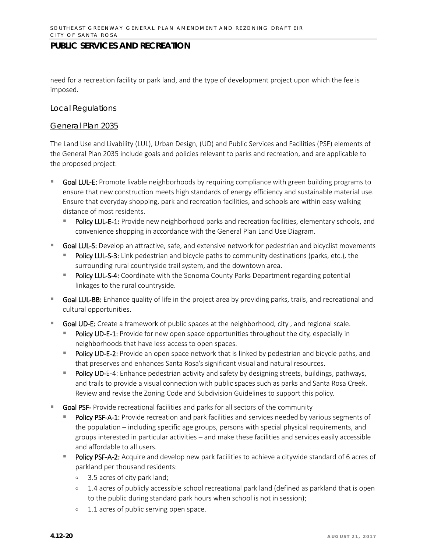need for a recreation facility or park land, and the type of development project upon which the fee is imposed.

#### *Local Regulations*

#### General Plan 2035

The Land Use and Livability (LUL), Urban Design, (UD) and Public Services and Facilities (PSF) elements of the General Plan 2035 include goals and policies relevant to parks and recreation, and are applicable to the proposed project:

- Goal LUL-E: Promote livable neighborhoods by requiring compliance with green building programs to ensure that new construction meets high standards of energy efficiency and sustainable material use. Ensure that everyday shopping, park and recreation facilities, and schools are within easy walking distance of most residents.
	- Policy LUL-E-1: Provide new neighborhood parks and recreation facilities, elementary schools, and convenience shopping in accordance with the General Plan Land Use Diagram.
- Goal LUL-S: Develop an attractive, safe, and extensive network for pedestrian and bicyclist movements
	- Policy LUL-S-3: Link pedestrian and bicycle paths to community destinations (parks, etc.), the surrounding rural countryside trail system, and the downtown area.
	- **Policy LUL-S-4:** Coordinate with the Sonoma County Parks Department regarding potential linkages to the rural countryside.
- Goal LUL-BB: Enhance quality of life in the project area by providing parks, trails, and recreational and cultural opportunities.
- Goal UD-E: Create a framework of public spaces at the neighborhood, city , and regional scale.
	- Policy UD-E-1: Provide for new open space opportunities throughout the city, especially in neighborhoods that have less access to open spaces.
	- Policy UD-E-2: Provide an open space network that is linked by pedestrian and bicycle paths, and that preserves and enhances Santa Rosa's significant visual and natural resources.
	- **Policy UD-E-4: Enhance pedestrian activity and safety by designing streets, buildings, pathways,** and trails to provide a visual connection with public spaces such as parks and Santa Rosa Creek. Review and revise the Zoning Code and Subdivision Guidelines to support this policy.
- Goal PSF- Provide recreational facilities and parks for all sectors of the community
	- Policy PSF-A-1: Provide recreation and park facilities and services needed by various segments of the population – including specific age groups, persons with special physical requirements, and groups interested in particular activities – and make these facilities and services easily accessible and affordable to all users.
	- Policy PSF-A-2: Acquire and develop new park facilities to achieve a citywide standard of 6 acres of parkland per thousand residents:
		- 3.5 acres of city park land;
		- 1.4 acres of publicly accessible school recreational park land (defined as parkland that is open to the public during standard park hours when school is not in session);
		- <sup>o</sup> 1.1 acres of public serving open space.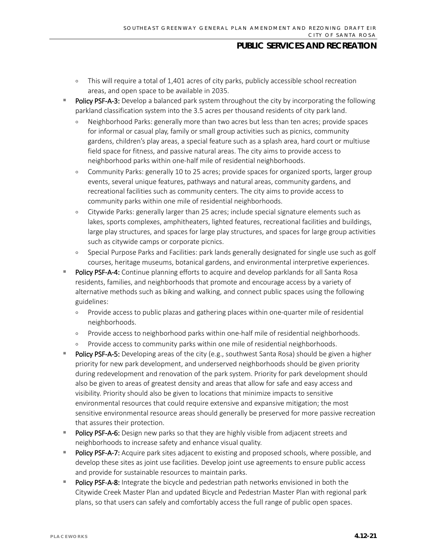- This will require a total of 1,401 acres of city parks, publicly accessible school recreation areas, and open space to be available in 2035.
- Policy PSF-A-3: Develop a balanced park system throughout the city by incorporating the following parkland classification system into the 3.5 acres per thousand residents of city park land.
	- Neighborhood Parks: generally more than two acres but less than ten acres; provide spaces for informal or casual play, family or small group activities such as picnics, community gardens, children's play areas, a special feature such as a splash area, hard court or multiuse field space for fitness, and passive natural areas. The city aims to provide access to neighborhood parks within one-half mile of residential neighborhoods.
	- Community Parks: generally 10 to 25 acres; provide spaces for organized sports, larger group events, several unique features, pathways and natural areas, community gardens, and recreational facilities such as community centers. The city aims to provide access to community parks within one mile of residential neighborhoods.
	- Citywide Parks: generally larger than 25 acres; include special signature elements such as lakes, sports complexes, amphitheaters, lighted features, recreational facilities and buildings, large play structures, and spaces for large play structures, and spaces for large group activities such as citywide camps or corporate picnics.
	- Special Purpose Parks and Facilities: park lands generally designated for single use such as golf courses, heritage museums, botanical gardens, and environmental interpretive experiences.
- Policy PSF-A-4: Continue planning efforts to acquire and develop parklands for all Santa Rosa residents, families, and neighborhoods that promote and encourage access by a variety of alternative methods such as biking and walking, and connect public spaces using the following guidelines:
	- Provide access to public plazas and gathering places within one-quarter mile of residential neighborhoods.
	- Provide access to neighborhood parks within one-half mile of residential neighborhoods.
	- Provide access to community parks within one mile of residential neighborhoods.
- Policy PSF-A-5: Developing areas of the city (e.g., southwest Santa Rosa) should be given a higher priority for new park development, and underserved neighborhoods should be given priority during redevelopment and renovation of the park system. Priority for park development should also be given to areas of greatest density and areas that allow for safe and easy access and visibility. Priority should also be given to locations that minimize impacts to sensitive environmental resources that could require extensive and expansive mitigation; the most sensitive environmental resource areas should generally be preserved for more passive recreation that assures their protection.
- Policy PSF-A-6: Design new parks so that they are highly visible from adjacent streets and neighborhoods to increase safety and enhance visual quality.
- **Policy PSF-A-7:** Acquire park sites adjacent to existing and proposed schools, where possible, and develop these sites as joint use facilities. Develop joint use agreements to ensure public access and provide for sustainable resources to maintain parks.
- Policy PSF-A-8: Integrate the bicycle and pedestrian path networks envisioned in both the Citywide Creek Master Plan and updated Bicycle and Pedestrian Master Plan with regional park plans, so that users can safely and comfortably access the full range of public open spaces.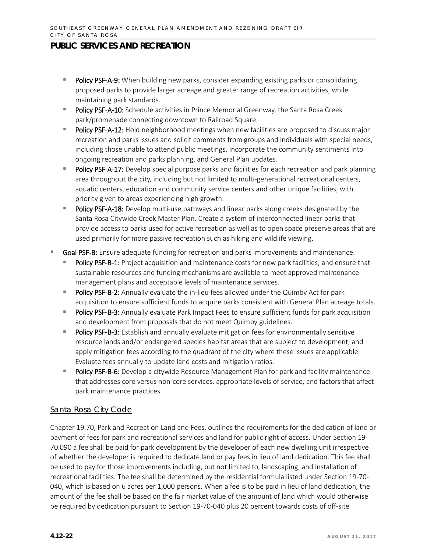- Policy PSF-A-9: When building new parks, consider expanding existing parks or consolidating proposed parks to provide larger acreage and greater range of recreation activities, while maintaining park standards.
- Policy PSF-A-10: Schedule activities in Prince Memorial Greenway, the Santa Rosa Creek park/promenade connecting downtown to Railroad Square.
- Policy PSF-A-12: Hold neighborhood meetings when new facilities are proposed to discuss major recreation and parks issues and solicit comments from groups and individuals with special needs, including those unable to attend public meetings. Incorporate the community sentiments into ongoing recreation and parks planning, and General Plan updates.
- Policy PSF-A-17: Develop special purpose parks and facilities for each recreation and park planning area throughout the city, including but not limited to multi-generational recreational centers, aquatic centers, education and community service centers and other unique facilities, with priority given to areas experiencing high growth.
- Policy PSF-A-18: Develop multi-use pathways and linear parks along creeks designated by the Santa Rosa Citywide Creek Master Plan. Create a system of interconnected linear parks that provide access to parks used for active recreation as well as to open space preserve areas that are used primarily for more passive recreation such as hiking and wildlife viewing.
- Goal PSF-B: Ensure adequate funding for recreation and parks improvements and maintenance.
	- Policy PSF-B-1: Project acquisition and maintenance costs for new park facilities, and ensure that sustainable resources and funding mechanisms are available to meet approved maintenance management plans and acceptable levels of maintenance services.
	- Policy PSF-B-2: Annually evaluate the in-lieu fees allowed under the Quimby Act for park acquisition to ensure sufficient funds to acquire parks consistent with General Plan acreage totals.
	- **Policy PSF-B-3:** Annually evaluate Park Impact Fees to ensure sufficient funds for park acquisition and development from proposals that do not meet Quimby guidelines.
	- **Policy PSF-B-3:** Establish and annually evaluate mitigation fees for environmentally sensitive resource lands and/or endangered species habitat areas that are subject to development, and apply mitigation fees according to the quadrant of the city where these issues are applicable. Evaluate fees annually to update land costs and mitigation ratios.
	- **Policy PSF-B-6:** Develop a citywide Resource Management Plan for park and facility maintenance that addresses core versus non-core services, appropriate levels of service, and factors that affect park maintenance practices.

#### Santa Rosa City Code

Chapter 19.70, Park and Recreation Land and Fees, outlines the requirements for the dedication of land or payment of fees for park and recreational services and land for public right of access. Under Section 19- 70.090 a fee shall be paid for park development by the developer of each new dwelling unit irrespective of whether the developer is required to dedicate land or pay fees in lieu of land dedication. This fee shall be used to pay for those improvements including, but not limited to, landscaping, and installation of recreational facilities. The fee shall be determined by the residential formula listed under Section 19-70- 040, which is based on 6 acres per 1,000 persons. When a fee is to be paid in lieu of land dedication, the amount of the fee shall be based on the fair market value of the amount of land which would otherwise be required by dedication pursuant to Section 19-70-040 plus 20 percent towards costs of off-site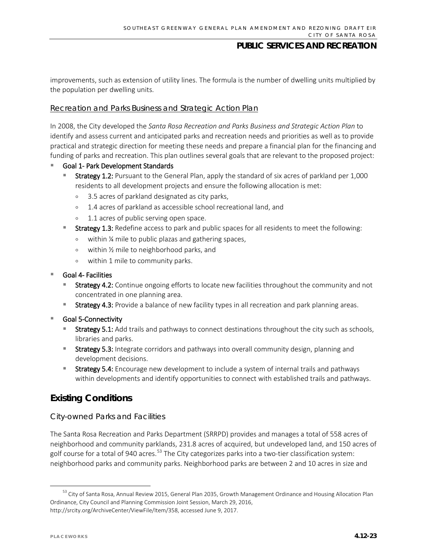improvements, such as extension of utility lines. The formula is the number of dwelling units multiplied by the population per dwelling units.

#### Recreation and Parks Business and Strategic Action Plan

In 2008, the City developed the *Santa Rosa Recreation and Parks Business and Strategic Action Plan* to identify and assess current and anticipated parks and recreation needs and priorities as well as to provide practical and strategic direction for meeting these needs and prepare a financial plan for the financing and funding of parks and recreation. This plan outlines several goals that are relevant to the proposed project:

#### Goal 1- Park Development Standards

- Strategy 1.2: Pursuant to the General Plan, apply the standard of six acres of parkland per 1,000 residents to all development projects and ensure the following allocation is met:
	- 3.5 acres of parkland designated as city parks,
	- 1.4 acres of parkland as accessible school recreational land, and
	- <sup>o</sup> 1.1 acres of public serving open space.
	- Strategy 1.3: Redefine access to park and public spaces for all residents to meet the following:
	- within ¼ mile to public plazas and gathering spaces,
	- within ½ mile to neighborhood parks, and
	- within 1 mile to community parks.

#### Goal 4- Facilities

- Strategy 4.2: Continue ongoing efforts to locate new facilities throughout the community and not concentrated in one planning area.
- **Strategy 4.3:** Provide a balance of new facility types in all recreation and park planning areas.
- Goal 5-Connectivity
	- Strategy 5.1: Add trails and pathways to connect destinations throughout the city such as schools, libraries and parks.
	- **Strategy 5.3:** Integrate corridors and pathways into overall community design, planning and development decisions.
	- **Strategy 5.4:** Encourage new development to include a system of internal trails and pathways within developments and identify opportunities to connect with established trails and pathways.

# **Existing Conditions**

#### *City-owned Parks and Facilities*

The Santa Rosa Recreation and Parks Department (SRRPD) provides and manages a total of 558 acres of neighborhood and community parklands, 231.8 acres of acquired, but undeveloped land, and 150 acres of golf course for a total of 940 acres.<sup>[53](#page-22-0)</sup> The City categorizes parks into a two-tier classification system: neighborhood parks and community parks. Neighborhood parks are between 2 and 10 acres in size and

<span id="page-22-0"></span><sup>&</sup>lt;sup>53</sup> City of Santa Rosa, Annual Review 2015, General Plan 2035, Growth Management Ordinance and Housing Allocation Plan Ordinance, City Council and Planning Commission Joint Session, March 29, 2016, [http://srcity.org/ArchiveCenter/ViewFile/Item/358,](http://srcity.org/ArchiveCenter/ViewFile/Item/358) accessed June 9, 2017.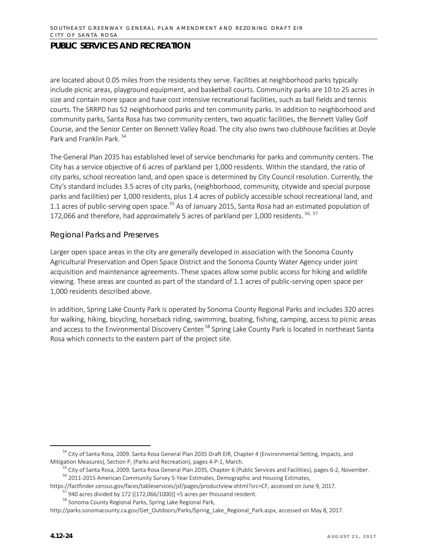are located about 0.05 miles from the residents they serve. Facilities at neighborhood parks typically include picnic areas, playground equipment, and basketball courts. Community parks are 10 to 25 acres in size and contain more space and have cost intensive recreational facilities, such as ball fields and tennis courts. The SRRPD has 52 neighborhood parks and ten community parks. In addition to neighborhood and community parks, Santa Rosa has two community centers, two aquatic facilities, the Bennett Valley Golf Course, and the Senior Center on Bennett Valley Road. The city also owns two clubhouse facilities at Doyle Park and Franklin Park. [54](#page-23-0)

The General Plan 2035 has established level of service benchmarks for parks and community centers. The City has a service objective of 6 acres of parkland per 1,000 residents. Within the standard, the ratio of city parks, school recreation land, and open space is determined by City Council resolution. Currently, the City's standard includes 3.5 acres of city parks, (neighborhood, community, citywide and special purpose parks and facilities) per 1,000 residents, plus 1.4 acres of publicly accessible school recreational land, and 1.1 acres of public-serving open space.<sup>[55](#page-23-1)</sup> As of January 2015, Santa Rosa had an estimated population of 172,066 and therefore, had approximately 5 acres of parkland per 1,000 residents. <sup>[56](#page-23-2), [57](#page-23-3)</sup>

#### *Regional Parks and Preserves*

Larger open space areas in the city are generally developed in association with the Sonoma County Agricultural Preservation and Open Space District and the Sonoma County Water Agency under joint acquisition and maintenance agreements. These spaces allow some public access for hiking and wildlife viewing. These areas are counted as part of the standard of 1.1 acres of public-serving open space per 1,000 residents described above.

In addition, Spring Lake County Park is operated by Sonoma County Regional Parks and includes 320 acres for walking, hiking, bicycling, horseback riding, swimming, boating, fishing, camping, access to picnic areas and access to the Environmental Discovery Center.<sup>[58](#page-23-4)</sup> Spring Lake County Park is located in northeast Santa Rosa which connects to the eastern part of the project site.

<span id="page-23-1"></span><span id="page-23-0"></span><sup>&</sup>lt;sup>54</sup> City of Santa Rosa, 2009. Santa Rosa General Plan 2035 Draft EIR, Chapter 4 (Environmental Setting, Impacts, and Mitigation Measures), Section P, (Parks and Recreation), pages 4-P-1, March.

<sup>&</sup>lt;sup>55</sup> City of Santa Rosa, 2009. Santa Rosa General Plan 2035, Chapter 6 (Public Services and Facilities), pages 6-2, November.

<sup>56</sup> 2011-2015 American Community Survey 5-Year Estimates, Demographic and Housing Estimates,

<span id="page-23-3"></span><span id="page-23-2"></span>[https://factfinder.census.gov/faces/tableservices/jsf/pages/productview.xhtml?src=CF,](https://factfinder.census.gov/faces/tableservices/jsf/pages/productview.xhtml?src=CF) accessed on June 9, 2017.<br><sup>[57](https://factfinder.census.gov/faces/tableservices/jsf/pages/productview.xhtml?src=CF)</sup> 940 acres divided by 172 [(172,066/1000)] =5 acres per thousand resident.<br><sup>58</sup> Sonoma County Regional Par

<span id="page-23-4"></span>http://parks.sonomacounty.ca.gov/Get\_Outdoors/Parks/Spring\_Lake\_Regional\_Park.aspx, accessed on May 8, 2017.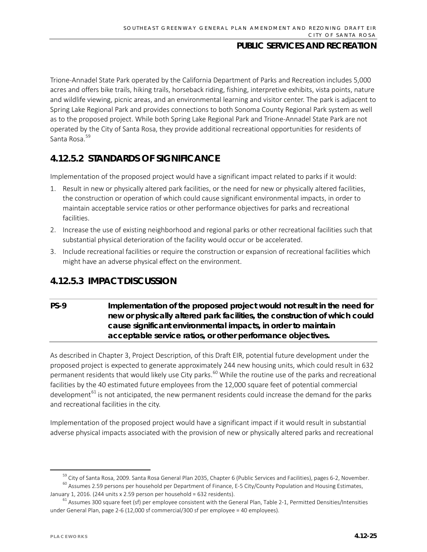Trione-Annadel State Park operated by the California Department of Parks and Recreation includes 5,000 acres and offers bike trails, hiking trails, horseback riding, fishing, interpretive exhibits, vista points, nature and wildlife viewing, picnic areas, and an environmental learning and visitor center. The park is adjacent to Spring Lake Regional Park and provides connections to both Sonoma County Regional Park system as well as to the proposed project. While both Spring Lake Regional Park and Trione-Annadel State Park are not operated by the City of Santa Rosa, they provide additional recreational opportunities for residents of Santa Rosa.<sup>[59](#page-24-0)</sup>

# **4.12.5.2 STANDARDS OF SIGNIFICANCE**

Implementation of the proposed project would have a significant impact related to parks if it would:

- 1. Result in new or physically altered park facilities, or the need for new or physically altered facilities, the construction or operation of which could cause significant environmental impacts, in order to maintain acceptable service ratios or other performance objectives for parks and recreational facilities.
- 2. Increase the use of existing neighborhood and regional parks or other recreational facilities such that substantial physical deterioration of the facility would occur or be accelerated.
- 3. Include recreational facilities or require the construction or expansion of recreational facilities which might have an adverse physical effect on the environment.

# **4.12.5.3 IMPACT DISCUSSION**

## **PS-9 Implementation of the proposed project would not result in the need for new or physically altered park facilities, the construction of which could cause significant environmental impacts, in order to maintain acceptable service ratios, or other performance objectives.**

As described in Chapter 3, Project Description, of this Draft EIR, potential future development under the proposed project is expected to generate approximately 244 new housing units, which could result in 632 permanent residents that would likely use City parks.<sup>[60](#page-24-1)</sup> While the routine use of the parks and recreational facilities by the 40 estimated future employees from the 12,000 square feet of potential commercial development $^{61}$  $^{61}$  $^{61}$  is not anticipated, the new permanent residents could increase the demand for the parks and recreational facilities in the city.

Implementation of the proposed project would have a significant impact if it would result in substantial adverse physical impacts associated with the provision of new or physically altered parks and recreational

<sup>&</sup>lt;sup>59</sup> City of Santa Rosa, 2009. Santa Rosa General Plan 2035, Chapter 6 (Public Services and Facilities), pages 6-2, November.  $^{60}$  Assumes 2.59 persons per household per Department of Finance, E-5 City/County Population and Housing Estimates,

<span id="page-24-2"></span><span id="page-24-1"></span><span id="page-24-0"></span>January 1, 2016. (244 units x 2.59 person per household = 632 residents).  $61$  Assumes 300 square feet (sf) per employee consistent with the General Plan, Table 2-1, Permitted Densities/Intensities under General Plan, page 2-6 (12,000 sf commercial/300 sf per employee = 40 employees).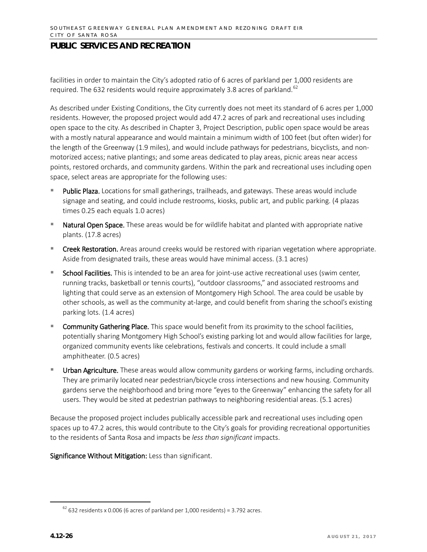facilities in order to maintain the City's adopted ratio of 6 acres of parkland per 1,000 residents are required. The 632 residents would require approximately 3.8 acres of parkland.<sup>[62](#page-25-0)</sup>

As described under Existing Conditions, the City currently does not meet its standard of 6 acres per 1,000 residents. However, the proposed project would add 47.2 acres of park and recreational uses including open space to the city. As described in Chapter 3, Project Description, public open space would be areas with a mostly natural appearance and would maintain a minimum width of 100 feet (but often wider) for the length of the Greenway (1.9 miles), and would include pathways for pedestrians, bicyclists, and nonmotorized access; native plantings; and some areas dedicated to play areas, picnic areas near access points, restored orchards, and community gardens. Within the park and recreational uses including open space, select areas are appropriate for the following uses:

- Public Plaza. Locations for small gatherings, trailheads, and gateways. These areas would include signage and seating, and could include restrooms, kiosks, public art, and public parking. (4 plazas times 0.25 each equals 1.0 acres)
- **Natural Open Space.** These areas would be for wildlife habitat and planted with appropriate native plants. (17.8 acres)
- **Creek Restoration.** Areas around creeks would be restored with riparian vegetation where appropriate. Aside from designated trails, these areas would have minimal access. (3.1 acres)
- School Facilities. This is intended to be an area for joint-use active recreational uses (swim center, running tracks, basketball or tennis courts), "outdoor classrooms," and associated restrooms and lighting that could serve as an extension of Montgomery High School. The area could be usable by other schools, as well as the community at-large, and could benefit from sharing the school's existing parking lots. (1.4 acres)
- **Community Gathering Place.** This space would benefit from its proximity to the school facilities, potentially sharing Montgomery High School's existing parking lot and would allow facilities for large, organized community events like celebrations, festivals and concerts. It could include a small amphitheater. (0.5 acres)
- Urban Agriculture. These areas would allow community gardens or working farms, including orchards. They are primarily located near pedestrian/bicycle cross intersections and new housing. Community gardens serve the neighborhood and bring more "eyes to the Greenway" enhancing the safety for all users. They would be sited at pedestrian pathways to neighboring residential areas. (5.1 acres)

Because the proposed project includes publically accessible park and recreational uses including open spaces up to 47.2 acres, this would contribute to the City's goals for providing recreational opportunities to the residents of Santa Rosa and impacts be *less than significant* impacts.

<span id="page-25-0"></span> $62$  632 residents x 0.006 (6 acres of parkland per 1,000 residents) = 3.792 acres.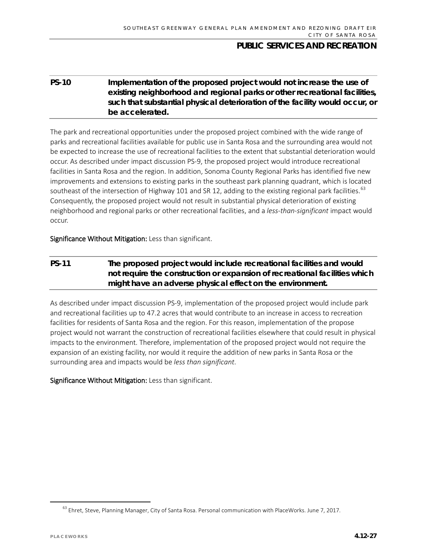### **PS-10 Implementation of the proposed project would not increase the use of existing neighborhood and regional parks or other recreational facilities, such that substantial physical deterioration of the facility would occur, or be accelerated.**

The park and recreational opportunities under the proposed project combined with the wide range of parks and recreational facilities available for public use in Santa Rosa and the surrounding area would not be expected to increase the use of recreational facilities to the extent that substantial deterioration would occur. As described under impact discussion PS-9, the proposed project would introduce recreational facilities in Santa Rosa and the region. In addition, Sonoma County Regional Parks has identified five new improvements and extensions to existing parks in the southeast park planning quadrant, which is located southeast of the intersection of Highway 101 and SR 12, adding to the existing regional park facilities.<sup>[63](#page-26-0)</sup> Consequently, the proposed project would not result in substantial physical deterioration of existing neighborhood and regional parks or other recreational facilities, and a *less-than-significant* impact would occur.

Significance Without Mitigation: Less than significant.

### **PS-11 The proposed project would include recreational facilities and would not require the construction or expansion of recreational facilities which might have an adverse physical effect on the environment.**

As described under impact discussion PS-9, implementation of the proposed project would include park and recreational facilities up to 47.2 acres that would contribute to an increase in access to recreation facilities for residents of Santa Rosa and the region. For this reason, implementation of the propose project would not warrant the construction of recreational facilities elsewhere that could result in physical impacts to the environment. Therefore, implementation of the proposed project would not require the expansion of an existing facility, nor would it require the addition of new parks in Santa Rosa or the surrounding area and impacts would be *less than significant*.

<span id="page-26-0"></span><sup>&</sup>lt;sup>63</sup> Ehret, Steve, Planning Manager, City of Santa Rosa. Personal communication with PlaceWorks. June 7, 2017.